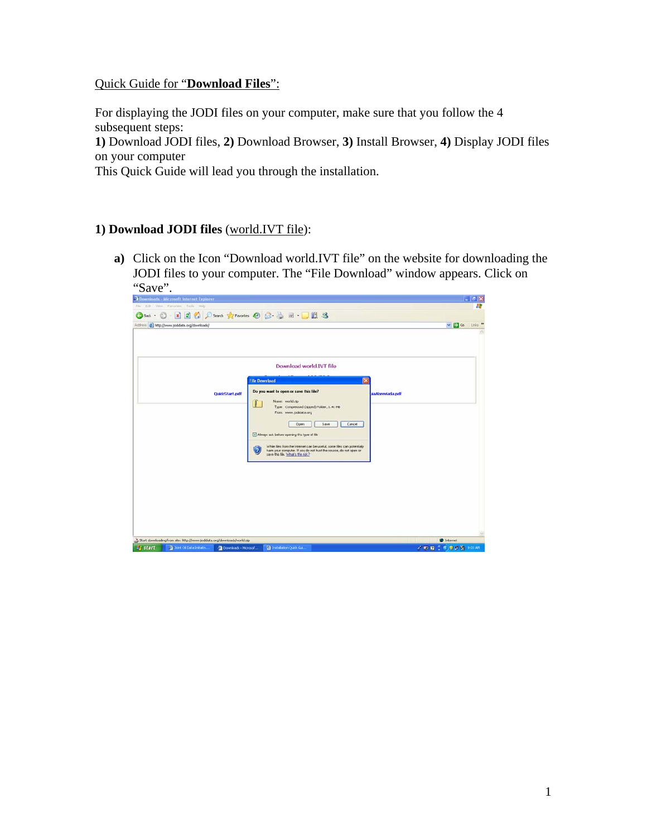## Quick Guide for "**Download Files**":

For displaying the JODI files on your computer, make sure that you follow the 4 subsequent steps:

**1)** Download JODI files, **2)** Download Browser, **3)** Install Browser, **4)** Display JODI files on your computer

This Quick Guide will lead you through the installation.

## **1) Download JODI files** (world.IVT file):

**a)** Click on the Icon "Download world.IVT file" on the website for downloading the JODI files to your computer. The "File Download" window appears. Click on "Save".

| 2 Downloads - Microsoft Internet Explorer   |                                                                          |                                                                                                                                                                                                                                                                                                                                                                                                                                                          | $-17x$                                       |  |  |  |  |  |
|---------------------------------------------|--------------------------------------------------------------------------|----------------------------------------------------------------------------------------------------------------------------------------------------------------------------------------------------------------------------------------------------------------------------------------------------------------------------------------------------------------------------------------------------------------------------------------------------------|----------------------------------------------|--|--|--|--|--|
| Edit: View, Flevoriteic Trick Help<br>Film. |                                                                          |                                                                                                                                                                                                                                                                                                                                                                                                                                                          | Ж                                            |  |  |  |  |  |
| 3 Back - (C)                                |                                                                          |                                                                                                                                                                                                                                                                                                                                                                                                                                                          | $\vee$ $\bigoplus$ Go<br>Links <sup>10</sup> |  |  |  |  |  |
|                                             | Address 2 http://www.jodidata.org/downloads/                             |                                                                                                                                                                                                                                                                                                                                                                                                                                                          |                                              |  |  |  |  |  |
|                                             | QuickStart.pdf                                                           | Download world.IVT file<br><b>File Download</b><br>Do you want to open or save this file?<br>Name: world.zip<br>U,<br>Type: Compressed (zipped) Folder, 1.41 MB<br>From www.jodidata.org<br>Save<br>Cancel<br>Open<br>Always ask before opening this type of file<br>While files from the Internet can be useful, some files can potentially<br>ä<br>harm your computer. If you do not trust the source, do not open or save this file. What's the risk? | <b>#aAbreviada.pdf</b>                       |  |  |  |  |  |
|                                             | Start downloading from site: http://www.jodidata.org/downloads/world.zip |                                                                                                                                                                                                                                                                                                                                                                                                                                                          | <b>D</b> Internet                            |  |  |  |  |  |
| <b>Start</b>                                | 3 Joint Of Data Initiativ<br>Downloads - Microsof                        | To Installation Quick Gui.                                                                                                                                                                                                                                                                                                                                                                                                                               | <b>才和前了传奇广泛 500.4M</b>                       |  |  |  |  |  |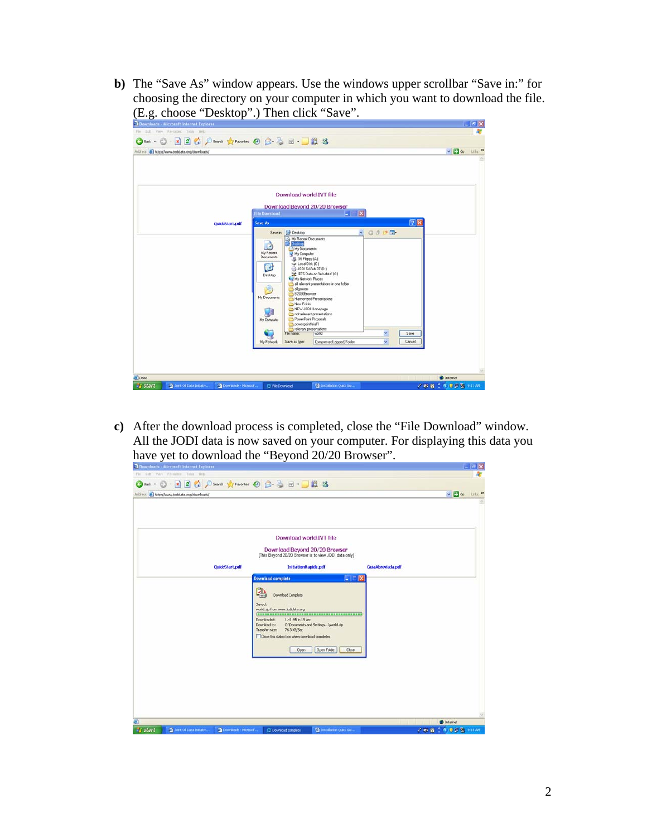**b)** The "Save As" window appears. Use the windows upper scrollbar "Save in:" for choosing the directory on your computer in which you want to download the file. (E.g. choose "Desktop".) Then click "Save".

| Downloads - Microsoft Internet Explorer                            |                                                |                                           |                                          |                |           | $ 6$ $x$               |
|--------------------------------------------------------------------|------------------------------------------------|-------------------------------------------|------------------------------------------|----------------|-----------|------------------------|
| File Edit Very Payontes Tuck                                       |                                                |                                           |                                          |                |           |                        |
| <b>OF O BBC Down growth ⊙ BB BBB</b>                               |                                                |                                           |                                          |                |           |                        |
| Address @ http://www.jodidata.org/downloads/                       |                                                |                                           |                                          |                |           | $v = 60$ Links $^{10}$ |
|                                                                    |                                                |                                           |                                          |                |           |                        |
|                                                                    |                                                |                                           |                                          |                |           |                        |
|                                                                    |                                                |                                           |                                          |                |           |                        |
|                                                                    |                                                |                                           |                                          |                |           |                        |
|                                                                    |                                                |                                           | Download world.IVT file                  |                |           |                        |
|                                                                    |                                                |                                           |                                          |                |           |                        |
|                                                                    | <b>File Download</b>                           |                                           | Download Bevond 20/20 Browser<br>$-18$   |                |           |                        |
| <b>QuickStart.pdf</b>                                              | Save As                                        |                                           |                                          |                | <b>7X</b> |                        |
|                                                                    | $O$ $0$ $O$ $O$<br>Save in 1 Decktop<br>$\sim$ |                                           |                                          |                |           |                        |
|                                                                    |                                                | My Recent Documents                       |                                          |                |           |                        |
|                                                                    | G                                              | Desktop<br>My Documents                   |                                          |                |           |                        |
|                                                                    | My Recent<br>Documents                         | My Computer                               |                                          |                |           |                        |
|                                                                    |                                                | 显 3H Floppy (A:)<br>Ca Local Disk (C:)    |                                          |                |           |                        |
|                                                                    | C                                              | JODI SAFeb 07 (D:)                        | EFS Data on Tefa-data' (K)               |                |           |                        |
|                                                                    | Desktop                                        | My Network Places                         |                                          |                |           |                        |
|                                                                    | S.                                             | algemein                                  | all relevant presentations in one folder |                |           |                        |
|                                                                    | My Documents                                   | <b>B2020Browser</b>                       | Hamonized Presentations                  |                |           |                        |
|                                                                    |                                                | New Folder                                |                                          |                |           |                        |
|                                                                    | ųВ                                             | NEW J001 Homepage                         | not relevant presentations               |                |           |                        |
|                                                                    | My Computer                                    | PowerPoint Proposals<br>powerpoint that 1 |                                          |                |           |                        |
|                                                                    |                                                | relevant presentations<br>File name:      | world                                    | $\mathbf{v}_1$ | Save      |                        |
|                                                                    |                                                |                                           |                                          | v.             | Cancel    |                        |
|                                                                    | My Network                                     | Save as type:                             | Compressed (zpped) Folder                |                |           |                        |
|                                                                    |                                                |                                           |                                          |                |           |                        |
|                                                                    |                                                |                                           |                                          |                |           |                        |
|                                                                    |                                                |                                           |                                          |                |           |                        |
| a) Done                                                            |                                                |                                           |                                          |                |           | <b>D</b> Internet      |
| <b>istart</b><br>To Joint Of Data Initiativ<br>Downloads - Morosof | E File Download                                |                                           | <b>Ca</b> Installation Quick Guine       |                |           | <b>ZERCROSS HIM</b>    |

**c)** After the download process is completed, close the "File Download" window. All the JODI data is now saved on your computer. For displaying this data you have yet to download the "Beyond 20/20 Browser".<br>Decorate international Explorer

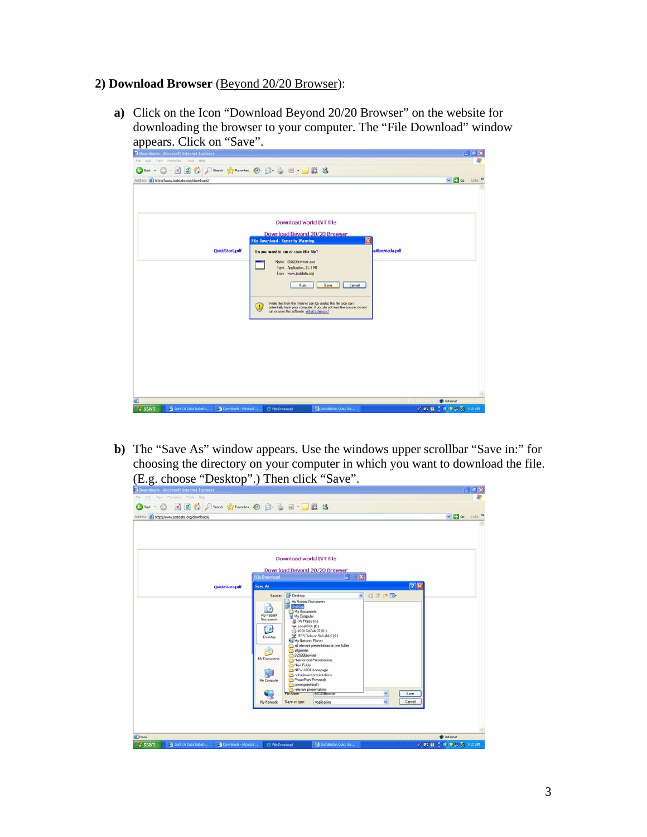## **2) Download Browser** (Beyond 20/20 Browser):

**a)** Click on the Icon "Download Beyond 20/20 Browser" on the website for downloading the browser to your computer. The "File Download" window appears. Click on "Save".

| Downloads - Microsoft Internet Explorer                           |                                                                                                                                                                                                                                                                                                                                                                                                                                                       | $ 6$ X                                   |
|-------------------------------------------------------------------|-------------------------------------------------------------------------------------------------------------------------------------------------------------------------------------------------------------------------------------------------------------------------------------------------------------------------------------------------------------------------------------------------------------------------------------------------------|------------------------------------------|
| File Edit View Favorites Tools Help                               |                                                                                                                                                                                                                                                                                                                                                                                                                                                       |                                          |
|                                                                   |                                                                                                                                                                                                                                                                                                                                                                                                                                                       |                                          |
| Address @ http://www.jodidata.org/downloads/                      |                                                                                                                                                                                                                                                                                                                                                                                                                                                       | $\sim$ $\Box$ $\omega$<br>Links <b>W</b> |
| QuickStart.pdf                                                    | Download world.IVT file<br>Download Bevond 20/20 Browser<br><b>File Download - Security Warning</b><br>Do you want to run or save this file?<br>Name: E2020Browser.exe<br>Type: Application, 21.3 MB<br>From: www.jodidata.org<br>Run<br>Save<br>Cancel<br>While files from the Internet can be useful, this file type can<br>u<br>potentially harm your computer. If you do not trust the source, do not run or save this software. What's the risk? | ×<br>aAbreviada.pdf                      |
| e)                                                                |                                                                                                                                                                                                                                                                                                                                                                                                                                                       | to Internet                              |
| <b>Start</b><br>3 Joint Oil Data Initiativ<br>Downloads - Moresof | <b>Co</b> Installation Qualk Gal<br>E Fle Download                                                                                                                                                                                                                                                                                                                                                                                                    | <b>2 m m f を 0 m W 9:20 AM</b>           |

**b)** The "Save As" window appears. Use the windows upper scrollbar "Save in:" for choosing the directory on your computer in which you want to download the file. (E.g. choose "Desktop".) Then click "Save".

| <b>Orbot · ① × 2 ② △ ○ South 女 Forcetos ④ △ △ 三 ■ ■ ■ ② 名</b><br>Address @ http://www.jodidata.org/downloads/ |                                                                                                                                                                                                  | $\sim$ $\Box$ Go Links $^{10}$ |
|---------------------------------------------------------------------------------------------------------------|--------------------------------------------------------------------------------------------------------------------------------------------------------------------------------------------------|--------------------------------|
|                                                                                                               |                                                                                                                                                                                                  |                                |
|                                                                                                               | Download world.IVT file                                                                                                                                                                          |                                |
| QuickStart.pdf                                                                                                | Download Bevond 20/20 Browser<br>$ \mathbf{X}$<br><b>File Download</b><br><b>Save As</b>                                                                                                         | 2 <sup>8</sup>                 |
|                                                                                                               | $\times$ 0000<br>Save in: Desktop<br>My Recent Documents<br>Dealitop<br>E A<br>My Documents<br>My Recent<br>My Computer<br><b>Documents</b>                                                      |                                |
|                                                                                                               | 进 3% Floppy (A)<br>Car Local Disk (C:)<br>G<br>+3 JODI SAFeb 07 (D:)<br>EFS Data on Tele-data' DC1<br>Desktop<br>My Network Places<br>all relevant presentations in one folder<br>Ś,<br>algemein |                                |
|                                                                                                               | B2020Browser<br>My Documents<br>Hamonized Presentations<br>New Folder<br>NEW JODI Homepage<br>ų<br>not relevant presentations<br>PowerPoint Proposals<br>My Computer                             |                                |
|                                                                                                               | powerpoint trial 1<br>relevant presentations<br><b>B2020Browser</b><br>$\sim$<br>File rutine:<br>$\mathbf{v}$<br>My Network<br>Save as type:<br>Application                                      | Save:<br>Cancel                |
|                                                                                                               |                                                                                                                                                                                                  |                                |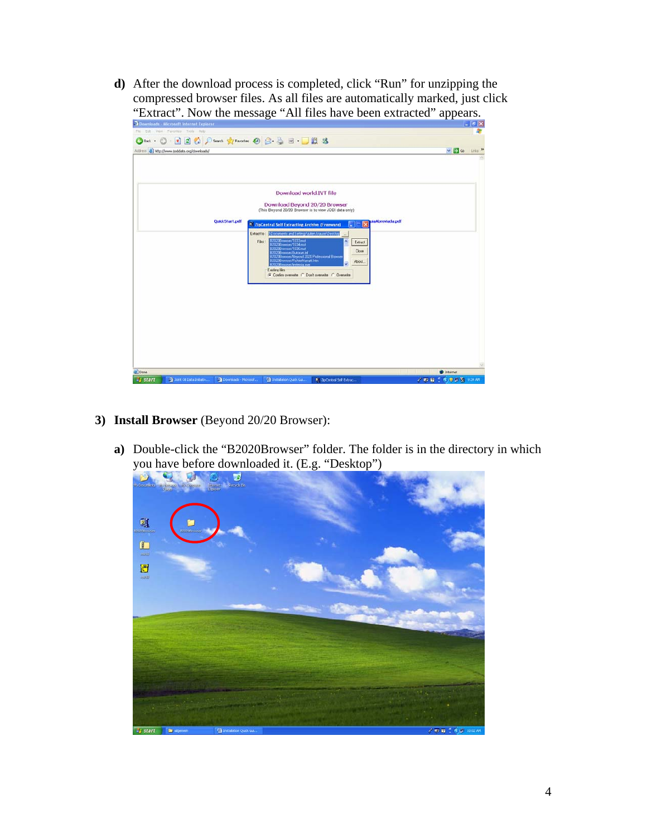**d)** After the download process is completed, click "Run" for unzipping the compressed browser files. As all files are automatically marked, just click "Extract". Now the message "All files have been extracted" appears.



- **3) Install Browser** (Beyond 20/20 Browser):
	- **a)** Double-click the "B2020Browser" folder. The folder is in the directory in which you have before downloaded it. (E.g. "Desktop")

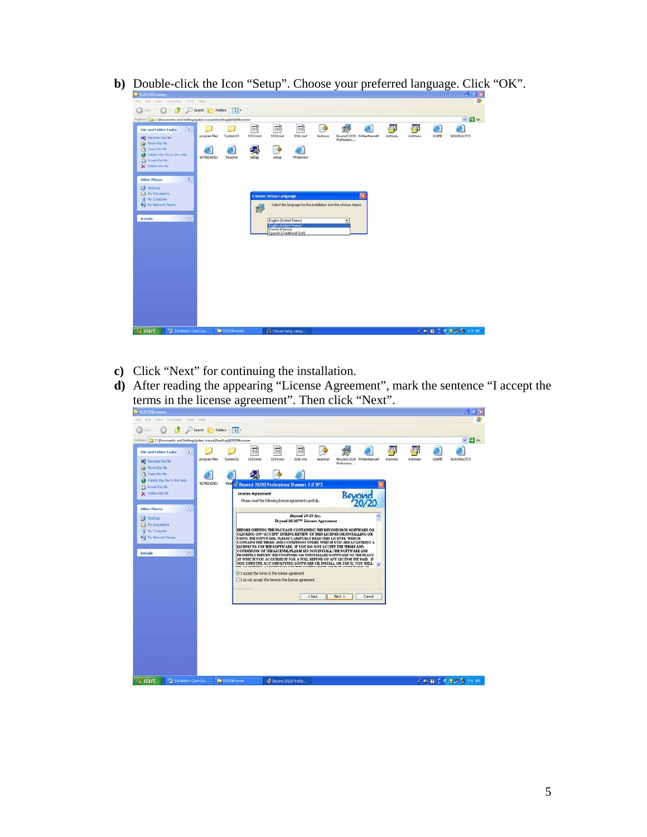**b)** Double-click the Icon "Setup". Choose your preferred language. Click "OK".

- **c)** Click "Next" for continuing the installation.
- **d)** After reading the appearing "License Agreement", mark the sentence "I accept the terms in the license agreement". Then click "Next".

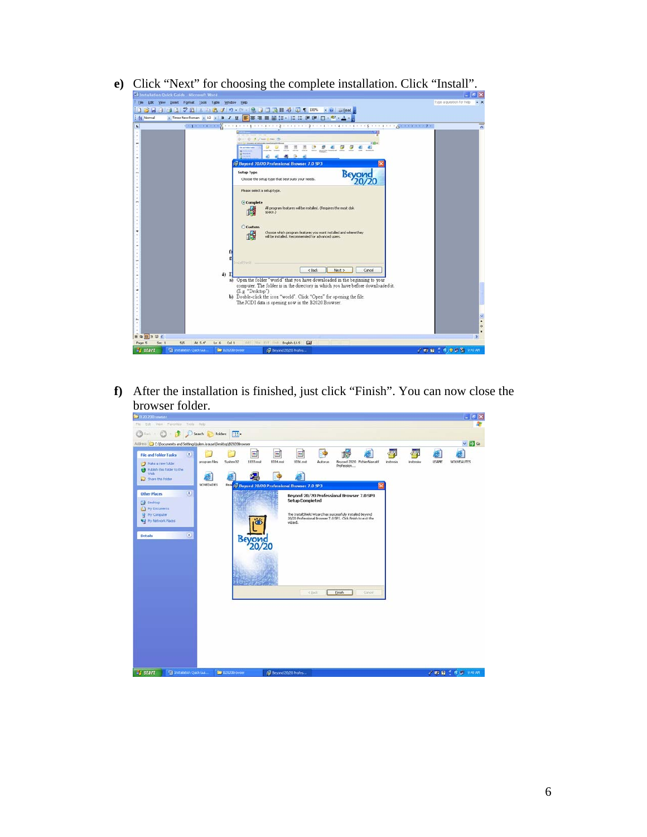- Elle Edit Yew Insert Format Iools Table Window Help  $\cdot$  8 **DURRAPEGEES**  $\bullet$  $\alpha$  $\frac{1}{2}$ Beyond 20/20 Professional Browser 7.0 SP3 **Beyond** Setup Type<br>Choose the setup type that best suits your needs .<br>Please select a setup type  $\odot$  Con 禮 All pro an features will be installed. (Requires the most disk  $OCus$ 碍 Choose which program features you want installed and where they<br>will be installed. Recommended for advanced users. <Back Next> Cancel  $4)$ I<br>
Note that you have downloaded in the beginning to your<br>
computer. The folder is in the directory in which you have before downloaded it.<br>
(E.g. "Deiktop")<br>
(Director") in which you have before downloaded it.<br>
(Director" 5/5 At 5.4" Ln 6 Col 1 English (U.S. Gall ■四門名曲 m **I** all
- **e**) Click "Next" for choosing the complete installation. Click "Install".

**f)** After the installation is finished, just click "Finish". You can now close the browser folder.